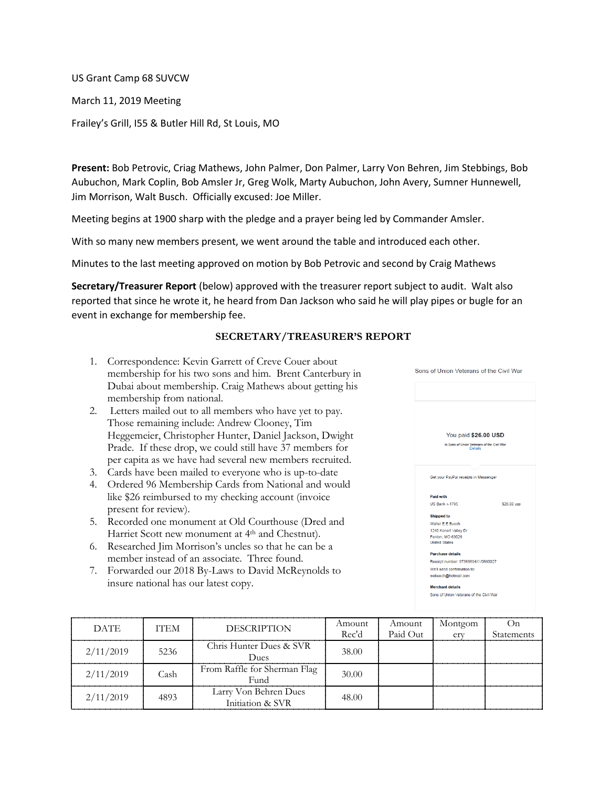US Grant Camp 68 SUVCW

March 11, 2019 Meeting

Frailey's Grill, I55 & Butler Hill Rd, St Louis, MO

**Present:** Bob Petrovic, Criag Mathews, John Palmer, Don Palmer, Larry Von Behren, Jim Stebbings, Bob Aubuchon, Mark Coplin, Bob Amsler Jr, Greg Wolk, Marty Aubuchon, John Avery, Sumner Hunnewell, Jim Morrison, Walt Busch. Officially excused: Joe Miller.

Meeting begins at 1900 sharp with the pledge and a prayer being led by Commander Amsler.

With so many new members present, we went around the table and introduced each other.

Minutes to the last meeting approved on motion by Bob Petrovic and second by Craig Mathews

**Secretary/Treasurer Report** (below) approved with the treasurer report subject to audit. Walt also reported that since he wrote it, he heard from Dan Jackson who said he will play pipes or bugle for an event in exchange for membership fee.

## **SECRETARY/TREASURER'S REPORT**

- 1. Correspondence: Kevin Garrett of Creve Couer about membership for his two sons and him. Brent Canterbury in Dubai about membership. Craig Mathews about getting his membership from national.
- 2. Letters mailed out to all members who have yet to pay. Those remaining include: Andrew Clooney, Tim Heggemeier, Christopher Hunter, Daniel Jackson, Dwight Prade. If these drop, we could still have 37 members for per capita as we have had several new members recruited.
- 3. Cards have been mailed to everyone who is up-to-date
- 4. Ordered 96 Membership Cards from National and would like \$26 reimbursed to my checking account (invoice present for review).
- 5. Recorded one monument at Old Courthouse (Dred and Harriet Scott new monument at 4<sup>th</sup> and Chestnut).
- 6. Researched Jim Morrison's uncles so that he can be a member instead of an associate. Three found.
- 7. Forwarded our 2018 By-Laws to David McReynolds to insure national has our latest copy.



| <b>DATE</b> | <b>ITEM</b> | <b>DESCRIPTION</b>                          | Amount | Amount   | Montgom | ( )ก              |
|-------------|-------------|---------------------------------------------|--------|----------|---------|-------------------|
|             |             |                                             | Rec'd  | Paid Out | erv     | <b>Statements</b> |
| 2/11/2019   | 5236        | Chris Hunter Dues & SVR<br><b>Dues</b>      | 38.00  |          |         |                   |
| 2/11/2019   | Cash        | From Raffle for Sherman Flag<br><b>Fund</b> | 30.00  |          |         |                   |
| 2/11/2019   | 4893        | Larry Von Behren Dues<br>Initiation & SVR   | 48.00  |          |         |                   |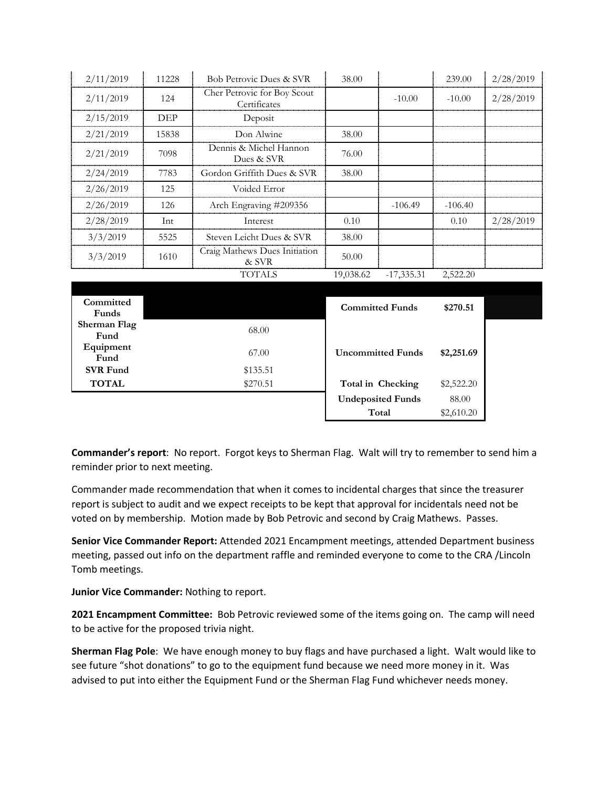| 2/11/2019 | 11228 | Bob Petrovic Dues & SVR                     | 38.00     |              | 239.00    | 2/28/2019 |
|-----------|-------|---------------------------------------------|-----------|--------------|-----------|-----------|
| 2/11/2019 | 124   | Cher Petrovic for Boy Scout<br>Certificates |           | $-10.00$     | $-10.00$  | 2/28/2019 |
| 2/15/2019 | DEP   | Deposit                                     |           |              |           |           |
| 2/21/2019 | 15838 | Don Alwine                                  | 38.00     |              |           |           |
| 2/21/2019 | 7098  | Dennis & Michel Hannon<br>Dues & SVR        | 76.00     |              |           |           |
| 2/24/2019 | 7783  | Gordon Griffith Dues & SVR                  | 38.00     |              |           |           |
| 2/26/2019 | 125   | Voided Error                                |           |              |           |           |
| 2/26/2019 | 126   | Arch Engraving #209356                      |           | $-106.49$    | $-106.40$ |           |
| 2/28/2019 | Int   | Interest                                    | 0.10      |              | 0.10      | 2/28/2019 |
| 3/3/2019  | 5525  | Steven Leicht Dues & SVR                    | 38.00     |              |           |           |
| 3/3/2019  | 1610  | Craig Mathews Dues Initiation<br>& SVR      | 50.00     |              |           |           |
|           |       | TOTALS                                      | 19,038.62 | $-17,335.31$ | 2,522.20  |           |

| Committed       |          |                          |            |  |
|-----------------|----------|--------------------------|------------|--|
| Funds           |          | <b>Committed Funds</b>   | \$270.51   |  |
| Sherman Flag    | 68.00    |                          |            |  |
| Fund            |          |                          |            |  |
| Equipment       | 67.00    | <b>Uncommitted Funds</b> | \$2,251.69 |  |
| Fund            |          |                          |            |  |
| <b>SVR Fund</b> | \$135.51 |                          |            |  |
| <b>TOTAL</b>    | \$270.51 | Total in Checking        | \$2,522.20 |  |
|                 |          | <b>Undeposited Funds</b> | 88.00      |  |
|                 |          | Total                    | \$2,610.20 |  |

**Commander's report**: No report. Forgot keys to Sherman Flag. Walt will try to remember to send him a reminder prior to next meeting.

Commander made recommendation that when it comes to incidental charges that since the treasurer report is subject to audit and we expect receipts to be kept that approval for incidentals need not be voted on by membership. Motion made by Bob Petrovic and second by Craig Mathews. Passes.

**Senior Vice Commander Report:** Attended 2021 Encampment meetings, attended Department business meeting, passed out info on the department raffle and reminded everyone to come to the CRA /Lincoln Tomb meetings.

**Junior Vice Commander:** Nothing to report.

**2021 Encampment Committee:** Bob Petrovic reviewed some of the items going on. The camp will need to be active for the proposed trivia night.

**Sherman Flag Pole**: We have enough money to buy flags and have purchased a light. Walt would like to see future "shot donations" to go to the equipment fund because we need more money in it. Was advised to put into either the Equipment Fund or the Sherman Flag Fund whichever needs money.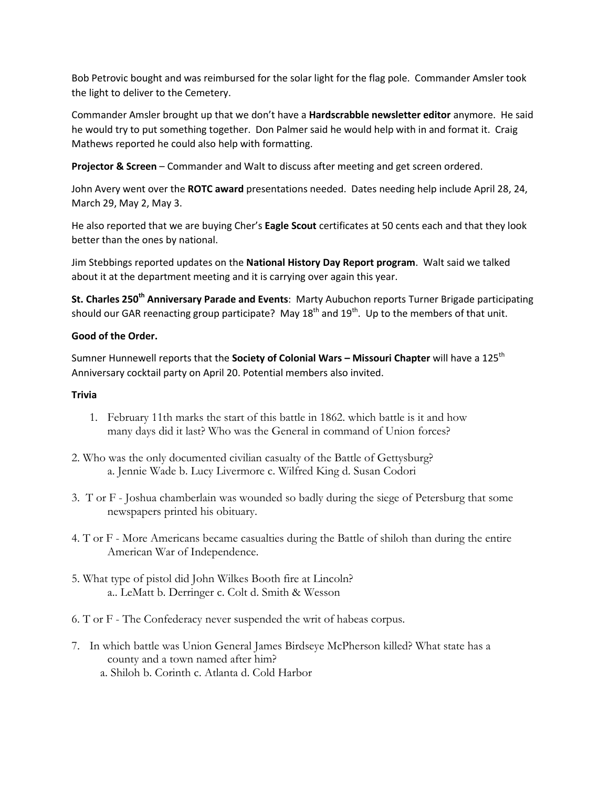Bob Petrovic bought and was reimbursed for the solar light for the flag pole. Commander Amsler took the light to deliver to the Cemetery.

Commander Amsler brought up that we don't have a **Hardscrabble newsletter editor** anymore. He said he would try to put something together. Don Palmer said he would help with in and format it. Craig Mathews reported he could also help with formatting.

**Projector & Screen** – Commander and Walt to discuss after meeting and get screen ordered.

John Avery went over the **ROTC award** presentations needed. Dates needing help include April 28, 24, March 29, May 2, May 3.

He also reported that we are buying Cher's **Eagle Scout** certificates at 50 cents each and that they look better than the ones by national.

Jim Stebbings reported updates on the **National History Day Report program**. Walt said we talked about it at the department meeting and it is carrying over again this year.

**St. Charles 250th Anniversary Parade and Events**: Marty Aubuchon reports Turner Brigade participating should our GAR reenacting group participate? May  $18<sup>th</sup>$  and  $19<sup>th</sup>$ . Up to the members of that unit.

## **Good of the Order.**

Sumner Hunnewell reports that the **Society of Colonial Wars – Missouri Chapter** will have a 125th Anniversary cocktail party on April 20. Potential members also invited.

## **Trivia**

- 1. February 11th marks the start of this battle in 1862. which battle is it and how many days did it last? Who was the General in command of Union forces?
- 2. Who was the only documented civilian casualty of the Battle of Gettysburg? a. Jennie Wade b. Lucy Livermore c. Wilfred King d. Susan Codori
- 3. T or F Joshua chamberlain was wounded so badly during the siege of Petersburg that some newspapers printed his obituary.
- 4. T or F More Americans became casualties during the Battle of shiloh than during the entire American War of Independence.
- 5. What type of pistol did John Wilkes Booth fire at Lincoln? a.. LeMatt b. Derringer c. Colt d. Smith & Wesson
- 6. T or F The Confederacy never suspended the writ of habeas corpus.
- 7. In which battle was Union General James Birdseye McPherson killed? What state has a county and a town named after him?
	- a. Shiloh b. Corinth c. Atlanta d. Cold Harbor